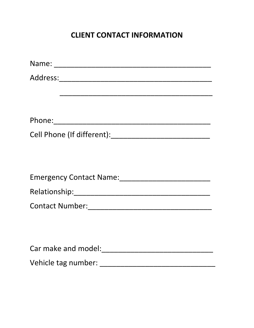# **CLIENT CONTACT INFORMATION**

| Emergency Contact Name:<br><u> Emergency Contact Name:</u> |
|------------------------------------------------------------|
|                                                            |
|                                                            |
|                                                            |
|                                                            |
|                                                            |
|                                                            |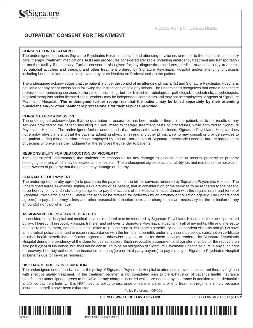

### **OUTPATIENT CONSENT FOR TREATMENT**

#### **CONSENT FOR TREATMENT**

The undersigned authorizes Signature Psychiatric Hospital, its staff, and attending physicians to render to the patient all customary care, therapy, treatment, medications, tests and procedures considered advisable, including emergency treatment and transportation to another facility if necessary. Further consent is also given for any diagnostic procedures, medical treatment, x-ray treatment, recreational activities and therapy, and other treatment ordered by Signature Psychiatric Hospital and/or attending physicians including but not limited to services provided by other Healthcare Professionals to the patient.

The undersigned acknowledges that the patient is under the control of an attending physician(s) and Signature Psychiatric Hospital is not liable for any act or omission in following the instructions of said physicians. The undersigned recognizes that certain healthcare professionals furnishing services to the patient, including, but not limited to, radiologists, pathologist, psychiatrists, psychologists, physical therapists and/or licensed social workers may be independent contractors and may not be employees or agents of Signature Psychiatric Hospital. **The undersigned further recognizes that the patient may be billed separately by their attending physicians and/or other healthcare professionals for their services provided.**

#### **CONSENTS FOR ADMISSION**

The undersigned acknowledges that no guarantee or assurance has been made to them, or the patient, as to the results of any services provided to the patient, including but not limited to therapy, treatment, tests or procedures, while admitted to Signature Psychiatric Hospital. The undersigned further understands that, unless otherwise disclosed, Signature Psychiatric Hospital does not employ physicians and that the patients admitting physician(s) and any other physician who may consult or provide services to the patient during this admission are not employed by and are not agents of Signature Psychiatric Hospital, but are independent physicians who exercise their judgment in the services they render to patients.

#### **RESPONSIBILITY FOR DESTRUCTION OF PROPERTY**

The undersigned understand(s) that patients are responsible for any damage to or destruction of hospital property, or property belonging to others which may be located at the hospital. The undersigned agree to accept liability for, and reimburse the hospital or other owners of property that the patient may damage or destroy.

#### **GUARANTEE OF PAYMENT**

The undersigned, hereby agree(s) to guarantee the payment of the bill for services rendered by Signature Psychiatric Hospital. The undersigned agree(s) whether signing as guarantor or as patient, that in consideration of the services to be rendered to the patient, to be hereby jointly and individually obligated to pay the account of the Hospital in accordance with the regular rates and terms of Signature Psychiatric Hospital. Should the account be referred for collection by an attorney or collection agency, The undersigned agree(s) to pay all attorney's fees and other reasonable collection costs and charges that are necessary for the collection of any amount(s) not paid when due.

#### **ASSIGNMENT OF INSURANCE BENEFITS**

In consideration of hospital and medical services rendered or to be rendered by Signature Psychiatric Hospital, to the extent permitted by law, I hereby (I) irrevocably assign, transfer and set over to Signature Psychiatric Hospital (II) all of my rights, title and interest to medical reimbursement, including, but not limited to, (III) the right to designate a beneficiary, add dependent eligibility and (IV) to have an individual policy continued or issue in accordance with the terms and benefits under any insurance policy, subscription certificate or other health benefit indemnification agreement otherwise payable to me for those services rendered by Signature Psychiatric Hospital during the pendency of the claim for this admission. Such irrevocable assignment and transfer shall be for the recovery on said policy(ies) of insurance, but shall not be construed to be an obligation of Signature Psychiatric Hospital to pursue any such right of recovery. I hereby authorize the insurance company(ies) or third party payor(s) to pay directly to Signature Psychiatric Hospital all benefits due for services rendered.

#### **DISCHARGE POLICY INFORMATION**

The undersigned understands that it is the policy of Signature Psychiatric Hospital to attempt to provide a structured therapy regimen with effective quality treatment. If the treatment regimen is not completed prior to the exhaustion of patient's health insurance benefits, the undersigned agrees to be liable for any charges incurred which are not paid by insurance in addition to the deductible and/or co-payment liability. It is NOT hospital policy to discharge or transfer patients or end treatment regimens simply because insurance benefits have been exhausted.

Policy Reference: OP.001

### **DO NOT WRITE BELOW THIS LINE** SPH 14-SSL137 (06/14/16) Page 1 of 2



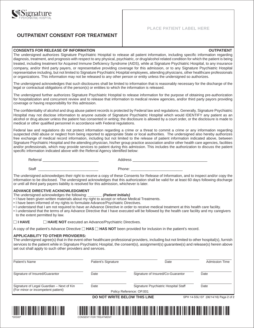### **OUTPATIENT CONSENT FOR TREATMENT**

#### **PLACE PATIENT LABEL HERE**

#### **CONSENTS FOR RELEASE OF INFORMATION OUTPATIENT**

The undersigned authorizes Signature Psychiatric Hospital to release all patient information, including specific information regarding diagnosis, treatment, and prognosis with respect to any physical, psychiatric, or drug/alcohol related condition for which the patient is being treated, including treatment for Acquired Immune Deficiency Syndrome (AIDS), while at Signature Psychiatric Hospital, to any insurance company, and/or third party payers, or representative providing coverage for this admission, or to any Signature Psychiatric Hospital representative including, but not limited to Signature Psychiatric Hospital employees, attending physicians, other healthcare professionals or organizations. This information may not be released to any other person or entity unless the undersigned so authorizes.

The undersigned acknowledges that such disclosures shall be limited to information that is reasonably necessary for the discharge of the legal or contractual obligations of the person(s) or entities to which the information is released.

The undersigned further authorizes Signature Psychiatric Hospital to release information for the purpose of obtaining pre-authorization for hospitalization and concurrent review and to release that information to medical review agencies, and/or third party payors providing coverage or having responsibility for this admission.

The confidentiality of alcohol and drug abuse patient records is protected by Federal law and regulations. Generally, Signature Psychiatric Hospital may not disclose information to anyone outside of Signature Psychiatric Hospital which would IDENTIFY any patient as an alcohol or drug abuser unless the patient has consented in writing; the disclosure is allowed by a court order, or the disclosure is made to medical or other qualified personnel in accordance with Federal regulations.

Federal law and regulations do not protect information regarding a crime or a threat to commit a crime or any information regarding suspected child abuse or neglect from being reported to appropriate State or local authorities. The undersigned also hereby authorizes free exchange of medical record information, including but not limited to the release of patient information indicated above, between Signature Psychiatric Hospital and the attending physician, his/her group practice association and/or other health care agencies, facilities and/or professionals, which may provide services to patient during this admission. This includes the authorization to discuss the patient specific information indicated above with the Referral Agency identified below:

Referral \_\_\_\_\_\_\_\_\_\_\_\_\_\_\_\_\_\_\_\_\_\_\_\_\_\_\_ Address \_\_\_\_\_\_\_\_\_\_\_\_\_\_\_\_\_\_\_\_\_\_\_\_\_\_\_\_\_\_\_\_\_\_\_\_

Staff \_\_\_\_\_\_\_\_\_\_\_\_\_\_\_\_\_\_\_\_\_\_\_\_\_\_\_\_\_ Phone: \_\_\_\_\_\_\_\_\_\_\_\_\_\_\_\_\_\_\_\_\_\_\_\_\_

The undersigned acknowledges their right to receive a copy of these Consents for Release of Information, and to inspect and/or copy the information to be disclosed. The undersigned acknowledges that this authorization shall be valid for at least 60 days following discharge or until all third party payers liability is resolved for this admission, whichever is later.

#### **ADVANCE DIRECTIVE ACKNOWLEDGMENT**

- The undersigned acknowledges the following: *\_\_\_\_\_\_\_ (Patient Initials)*
- I have been given written materials about my right to accept or refuse Medical Treatments.
- I have been informed of my rights to formulate Advance/Psychiatric Directives.
- I understand that I am not required to have an Advance Directive in order to receive medical treatment at this health care facility.
- I understand that the terms of any Advance Directive that I have executed will be followed by the health care facility and my caregivers to the extent permitted by law.

 $\Box$  **I HAVE**  $\Box$ □ HAVE NOT executed an Advance/Psychiatric Directives.

A copy of the patient's Advance Directive  $\Box$  **HAS**  $\Box$  **HAS NOT** been provided for inclusion in the patient's record.

#### **APPLICABILITY TO OTHER PROVIDERS:**

The undersigned agree(s) that in the event other healthcare professional providers, including but not limited to other hospital(s), furnish services to the patient while in Signature Psychiatric Hospital, the consent(s), assignment(s) guarantee(s) and release(s) herein above set out shall apply to such other providers and services.

| Patient's Name                            | Patient's Signature | Date                                 | <b>Admission Time</b> |
|-------------------------------------------|---------------------|--------------------------------------|-----------------------|
| Signature of Insured/Guarantor            | Date                | Signature of Insured/Co-Guarantor    | Date                  |
| Signature of Legal Guardian - Next of Kin | Date                | Signature Psychiatric Hospital Staff | Date                  |
| (For minor or incompetent patient)        |                     | Policy Reference: OP.001             |                       |

**DO NOT WRITE BELOW THIS LINE** SPH 14-SSL137 (06/14/16) Page 2 of 2

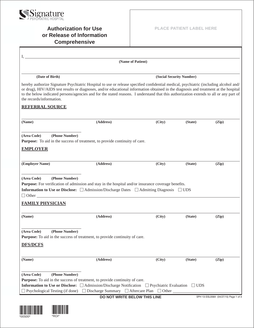

## **Authorization for Use or Release of Information Comprehensive**

|                                                          | (Name of Patient)                                                                                                                                                                                                                                                                                                                                                                                                       |                                                                                                    |                          |       |
|----------------------------------------------------------|-------------------------------------------------------------------------------------------------------------------------------------------------------------------------------------------------------------------------------------------------------------------------------------------------------------------------------------------------------------------------------------------------------------------------|----------------------------------------------------------------------------------------------------|--------------------------|-------|
| (Date of Birth)                                          |                                                                                                                                                                                                                                                                                                                                                                                                                         |                                                                                                    | (Social Security Number) |       |
| the records/information.                                 | hereby authorize Signature Psychiatric Hospital to use or release specified confidential medical, psychiatric (including alcohol and/<br>or drug), HIV/AIDS test results or diagnoses, and/or educational information obtained in the diagnosis and treatment at the hospital<br>to the below indicated persons/agencies and for the stated reasons. I understand that this authorization extends to all or any part of |                                                                                                    |                          |       |
| <b>REFERRAL SOURCE</b>                                   |                                                                                                                                                                                                                                                                                                                                                                                                                         |                                                                                                    |                          |       |
| (Name)                                                   | (Address)                                                                                                                                                                                                                                                                                                                                                                                                               | (City)                                                                                             | (State)                  | (Zip) |
| (Area Code)<br>(Phone Number)                            | Purpose: To aid in the success of treatment, to provide continuity of care.                                                                                                                                                                                                                                                                                                                                             |                                                                                                    |                          |       |
| <b>EMPLOYER</b>                                          |                                                                                                                                                                                                                                                                                                                                                                                                                         |                                                                                                    |                          |       |
| (Employer Name)                                          | (Address)                                                                                                                                                                                                                                                                                                                                                                                                               | (City)                                                                                             | (State)                  | (Zip) |
| (Phone Number)<br>(Area Code)<br><b>FAMILY PHYSICIAN</b> | <b>Purpose:</b> For verification of admission and stay in the hospital and/or insurance coverage benefits.<br><b>Information to Use or Disclose:</b> $\Box$ Admission/Discharge Dates $\Box$ Admitting Diagnosis $\Box$ UDS                                                                                                                                                                                             |                                                                                                    |                          |       |
| (Name)                                                   | (Address)                                                                                                                                                                                                                                                                                                                                                                                                               | (City)                                                                                             | (State)                  | (Zip) |
| (Phone Number)<br>(Area Code)<br><b>DFS/DCFS</b>         | Purpose: To aid in the success of treatment, to provide continuity of care.                                                                                                                                                                                                                                                                                                                                             |                                                                                                    |                          |       |
| (Name)                                                   | (Address)                                                                                                                                                                                                                                                                                                                                                                                                               | (City)                                                                                             | (State)                  | (Zip) |
| (Area Code)<br>(Phone Number)                            | <b>Purpose:</b> To aid in the success of treatment, to provide continuity of care.                                                                                                                                                                                                                                                                                                                                      | <b>Information to Use or Disclose:</b> □ Admission/Discharge Notification □ Psychiatric Evaluation | $\Box$ UDS               |       |

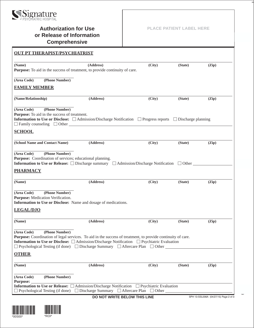

\*00S00\* \*ROI\*

### **Authorization for Use or Release of Information Comprehensive**

**PLACE PATIENT LABEL HERE**

| onnhi enensiye                                                                                                                                                                                                                                                                                                                                                                  |        |         |       |
|---------------------------------------------------------------------------------------------------------------------------------------------------------------------------------------------------------------------------------------------------------------------------------------------------------------------------------------------------------------------------------|--------|---------|-------|
| <b>OUT PT THERAPIST/PSYCHIATRIST</b>                                                                                                                                                                                                                                                                                                                                            |        |         |       |
| (Name)<br>(Address)<br>Purpose: To aid in the success of treatment, to provide continuity of care.                                                                                                                                                                                                                                                                              | (City) | (State) | (Zip) |
| (Area Code)<br>(Phone Number)                                                                                                                                                                                                                                                                                                                                                   |        |         |       |
| <b>FAMILY MEMBER</b>                                                                                                                                                                                                                                                                                                                                                            |        |         |       |
| (Name/Relationship)<br>(Address)                                                                                                                                                                                                                                                                                                                                                | (City) | (State) | (Zip) |
| (Area Code)<br>(Phone Number)<br><b>Purpose:</b> To aid in the success of treatment.<br><b>Information to Use or Disclose:</b> $\Box$ Admission/Discharge Notification $\Box$ Progress reports $\Box$ Discharge planning<br>$\Box$ Family counseling $\Box$ Other $\Box$                                                                                                        |        |         |       |
| <b>SCHOOL</b>                                                                                                                                                                                                                                                                                                                                                                   |        |         |       |
| (School Name and Contact Name)<br>(Address)                                                                                                                                                                                                                                                                                                                                     | (City) | (State) | (Zip) |
| (Area Code)<br>(Phone Number)<br>Purpose: Coordination of services; educational planning.<br><b>Information to Use or Release:</b> $\Box$ Discharge summary $\Box$ Admission/Discharge Notification $\Box$ Other<br><b>PHARMACY</b>                                                                                                                                             |        |         |       |
| (Name)<br>(Address)                                                                                                                                                                                                                                                                                                                                                             | (City) | (State) | (Zip) |
| (Phone Number)<br>(Area Code)<br>Purpose: Medication Verification.<br>Information to Use or Disclose: Name and dosage of medications.<br><b>LEGAL/DJO</b>                                                                                                                                                                                                                       |        |         |       |
| (Name)<br>(Address)                                                                                                                                                                                                                                                                                                                                                             | (City) | (State) | (Zip) |
| (Area Code)<br>(Phone Number)<br><b>Purpose:</b> Coordination of legal services. To aid in the success of treatment, to provide continuity of care.<br><b>Information to Use or Disclose:</b> □ Admission/Discharge Notification □ Psychiatric Evaluation<br>$\Box$ Psychological Testing (if done) $\Box$ Discharge Summary $\Box$ Aftercare Plan $\Box$ Other<br><b>OTHER</b> |        |         |       |
| (Address)<br>(Name)                                                                                                                                                                                                                                                                                                                                                             | (City) | (State) | (Zip) |
| (Phone Number)<br>(Area Code)<br><b>Purpose:</b><br><b>Information to Use or Release:</b> □ Admission/Discharge Notification □ Psychiatric Evaluation<br>$\Box$ Psychological Testing (if done) $\Box$ Discharge Summary $\Box$ Aftercare Plan $\Box$ Other                                                                                                                     |        |         |       |

**DO NOT WRITE BELOW THIS LINE** SPH 13-SSL006A (04/27/15) Page 2 of 3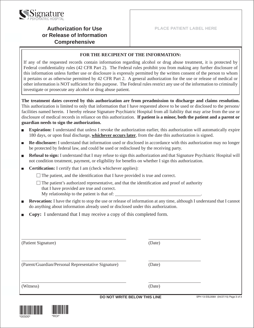

## **Authorization for Use or Release of Information Comprehensive**

### **FOR THE RECIPIENT OF THE INFORMATION:**

If any of the requested records contain information regarding alcohol or drug abuse treatment, it is protected by Federal confidentiality rules (42 CFR Part 2). The Federal rules prohibit you from making any further disclosure of this information unless further use or disclosure is expressly permitted by the written consent of the person to whom it pertains or as otherwise permitted by 42 CFR Part 2. A general authorization for the use or release of medical or other information is NOT sufficient for this purpose. The Federal rules restrict any use of the information to criminally investigate or prosecute any alcohol or drug abuse patient.

**The treatment dates covered by this authorization are from preadmission to discharge and claims resolution.** This authorization is limited to only that information that I have requested above to be used or disclosed to the persons/ facilities named herein. I hereby release Signature Psychiatric Hospital from all liability that may arise from the use or disclosure of medical records in reliance on this authorization. **If patient is a minor, both the patient and a parent or guardian needs to sign the authorization.**

- **Expiration:** I understand that unless I revoke the authorization earlier, this authorization will automatically expire 180 days, or upon final discharge, **whichever occurs later**, from the date this authorization is signed.
- **Re-disclosure:** I understand that information used or disclosed in accordance with this authorization may no longer be protected by federal law, and could be used or redisclosed by the receiving party.
- **Refusal to sign:** I understand that I may refuse to sign this authorization and that Signature Psychiatric Hospital will not condition treatment, payment, or eligibility for benefits on whether I sign this authorization.
- **Certification:** I certify that I am (check whichever applies):  $\Box$ 
	- $\Box$  The patient, and the identification that I have provided is true and correct.
	- $\Box$  The patient's authorized representative, and that the identification and proof of authority that I have provided are true and correct.
		- My relationship to the patient is that of:
- **Revocation:** I have the right to stop the use or release of information at any time, although I understand that I cannot do anything about information already used or disclosed under this authorization.
- **Copy:** I understand that I may receive a copy of this completed form. П

| (Witness)                                           | (Date) |  |
|-----------------------------------------------------|--------|--|
| (Parent/Guardian/Personal Representative Signature) | (Date) |  |
| (Patient Signature)                                 | (Date) |  |

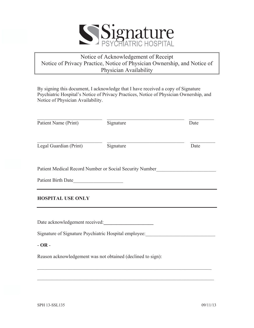

### Notice of Acknowledgement of Receipt Notice of Privacy Practice, Notice of Physician Ownership, and Notice of Physician Availability

By signing this document, I acknowledge that I have received a copy of Signature Psychiatric Hospital's Notice of Privacy Practices, Notice of Physician Ownership, and Notice of Physician Availability.

| Patient Name (Print)     | Signature                                                   | Date |
|--------------------------|-------------------------------------------------------------|------|
| Legal Guardian (Print)   | Signature                                                   | Date |
|                          | Patient Medical Record Number or Social Security Number     |      |
| Patient Birth Date       |                                                             |      |
| <b>HOSPITAL USE ONLY</b> |                                                             |      |
|                          | Date acknowledgement received:                              |      |
|                          | Signature of Signature Psychiatric Hospital employee:       |      |
| $-OR -$                  |                                                             |      |
|                          | Reason acknowledgement was not obtained (declined to sign): |      |

 $\mathcal{L}_\text{max} = \mathcal{L}_\text{max} = \mathcal{L}_\text{max} = \mathcal{L}_\text{max} = \mathcal{L}_\text{max} = \mathcal{L}_\text{max} = \mathcal{L}_\text{max} = \mathcal{L}_\text{max} = \mathcal{L}_\text{max} = \mathcal{L}_\text{max} = \mathcal{L}_\text{max} = \mathcal{L}_\text{max} = \mathcal{L}_\text{max} = \mathcal{L}_\text{max} = \mathcal{L}_\text{max} = \mathcal{L}_\text{max} = \mathcal{L}_\text{max} = \mathcal{L}_\text{max} = \mathcal{$ 

 $\mathcal{L}_\text{max}$  , and the contribution of the contribution of the contribution of the contribution of the contribution of the contribution of the contribution of the contribution of the contribution of the contribution of t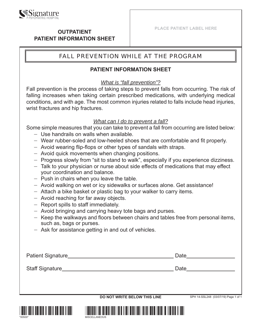

### **OUTPATIENT PATIENT INFORMATION SHEET**

## FALL PREVENTION WHILE AT THE PROGRAM

### **PATIENT INFORMATION SHEET**

### *What is "fall prevention"?*

Fall prevention is the process of taking steps to prevent falls from occurring. The risk of falling increases when taking certain prescribed medications, with underlying medical conditions, and with age. The most common injuries related to falls include head injuries, wrist fractures and hip fractures.

### *What can I do to prevent a fall?*

Some simple measures that you can take to prevent a fall from occurring are listed below:

- − Use handrails on walls when available.
- − Wear rubber-soled and low-heeled shoes that are comfortable and fit properly.
- − Avoid wearing flip-flops or other types of sandals with straps.
- − Avoid quick movements when changing positions.
- − Progress slowly from "sit to stand to walk", especially if you experience dizziness.
- − Talk to your physician or nurse about side effects of medications that may effect your coordination and balance.
- − Push in chairs when you leave the table.
- − Avoid walking on wet or icy sidewalks or surfaces alone. Get assistance!
- − Attach a bike basket or plastic bag to your walker to carry items.
- − Avoid reaching for far away objects.
- − Report spills to staff immediately.
- − Avoid bringing and carrying heavy tote bags and purses.
- − Keep the walkways and floors between chairs and tables free from personal items, such as, bags or purses.
- − Ask for assistance getting in and out of vehicles.

| Patient Signature_ | Date |
|--------------------|------|
| Staff Signature    | Date |
|                    |      |

**DO NOT WRITE BELOW THIS LINE** SPH 14-SSL248 (03/07/19) Page 1 of 1



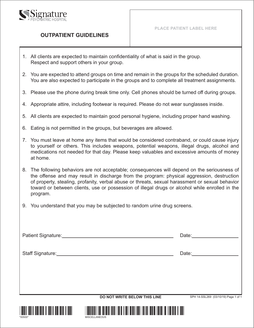

### **OUTPATIENT GUIDELINES**

- 1. All clients are expected to maintain confidentiality of what is said in the group. Respect and support others in your group.
- 2. You are expected to attend groups on time and remain in the groups for the scheduled duration. You are also expected to participate in the groups and to complete all treatment assignments.
- 3. Please use the phone during break time only. Cell phones should be turned off during groups.
- 4. Appropriate attire, including footwear is required. Please do not wear sunglasses inside.
- 5. All clients are expected to maintain good personal hygiene, including proper hand washing.
- 6. Eating is not permitted in the groups, but beverages are allowed.
- 7. You must leave at home any items that would be considered contraband, or could cause injury to yourself or others. This includes weapons, potential weapons, illegal drugs, alcohol and medications not needed for that day. Please keep valuables and excessive amounts of money at home.
- 8. The following behaviors are not acceptable; consequences will depend on the seriousness of the offense and may result in discharge from the program: physical aggression, destruction of property, stealing, profanity, verbal abuse or threats, sexual harassment or sexual behavior toward or between clients, use or possession of illegal drugs or alcohol while enrolled in the program.
- 9. You understand that you may be subjected to random urine drug screens.

| Staff Signature: Management Staff Signature:                                                                                                                                                                                   | Date: <u>____________________</u> |
|--------------------------------------------------------------------------------------------------------------------------------------------------------------------------------------------------------------------------------|-----------------------------------|
|                                                                                                                                                                                                                                |                                   |
|                                                                                                                                                                                                                                |                                   |
|                                                                                                                                                                                                                                |                                   |
|                                                                                                                                                                                                                                |                                   |
| Patient Signature: Management Control of the Control of the Control of the Control of the Control of the Control of the Control of the Control of the Control of the Control of the Control of the Control of the Control of t | Date: <u>Date:</u>                |
|                                                                                                                                                                                                                                |                                   |

**DO NOT WRITE BELOW THIS LINE** 



SPH 14-SSL269 (03/10/19) Page 1 of 1